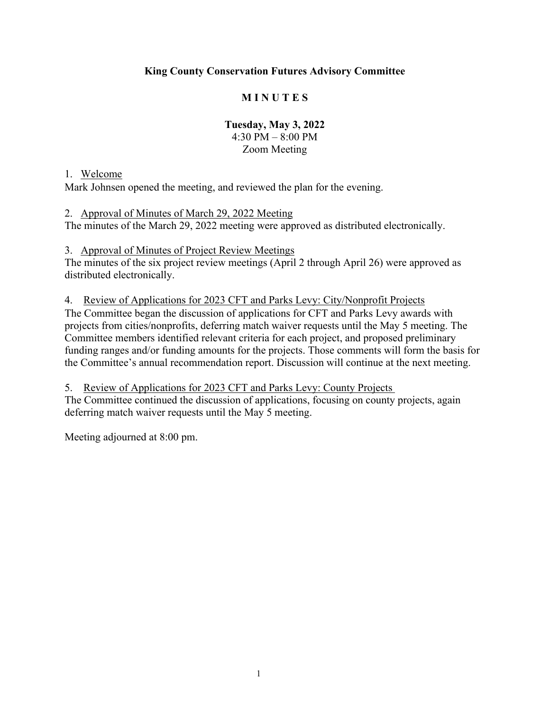## **King County Conservation Futures Advisory Committee**

## **M I N U T E S**

### **Tuesday, May 3, 2022** 4:30 PM – 8:00 PM Zoom Meeting

#### 1. Welcome

Mark Johnsen opened the meeting, and reviewed the plan for the evening.

2. Approval of Minutes of March 29, 2022 Meeting The minutes of the March 29, 2022 meeting were approved as distributed electronically.

3. Approval of Minutes of Project Review Meetings

The minutes of the six project review meetings (April 2 through April 26) were approved as distributed electronically.

4. Review of Applications for 2023 CFT and Parks Levy: City/Nonprofit Projects

The Committee began the discussion of applications for CFT and Parks Levy awards with projects from cities/nonprofits, deferring match waiver requests until the May 5 meeting. The Committee members identified relevant criteria for each project, and proposed preliminary funding ranges and/or funding amounts for the projects. Those comments will form the basis for the Committee's annual recommendation report. Discussion will continue at the next meeting.

5. Review of Applications for 2023 CFT and Parks Levy: County Projects The Committee continued the discussion of applications, focusing on county projects, again deferring match waiver requests until the May 5 meeting.

Meeting adjourned at 8:00 pm.